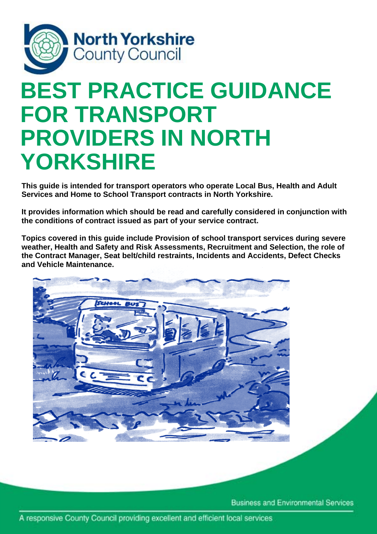

# **BEST PRACTICE GUIDANCE FOR TRANSPORT PROVIDERS IN NORTH YORKSHIRE**

**This guide is intended for transport operators who operate Local Bus, Health and Adult Services and Home to School Transport contracts in North Yorkshire.** 

**It provides information which should be read and carefully considered in conjunction with the conditions of contract issued as part of your service contract.** 

**Topics covered in this guide include Provision of school transport services during severe weather, Health and Safety and Risk Assessments, Recruitment and Selection, the role of the Contract Manager, Seat belt/child restraints, Incidents and Accidents, Defect Checks and Vehicle Maintenance.** 



**Business and Environmental Services**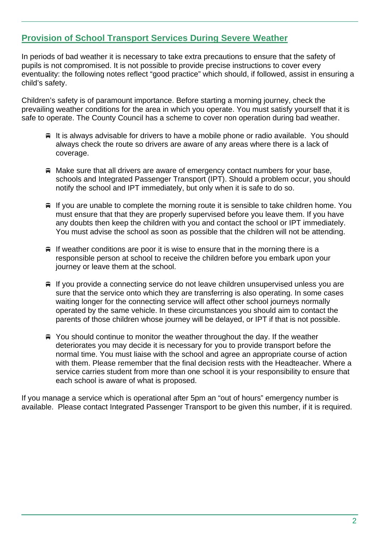# **Provision of School Transport Services During Severe Weather**

In periods of bad weather it is necessary to take extra precautions to ensure that the safety of pupils is not compromised. It is not possible to provide precise instructions to cover every eventuality: the following notes reflect "good practice" which should, if followed, assist in ensuring a child's safety.

Children's safety is of paramount importance. Before starting a morning journey, check the prevailing weather conditions for the area in which you operate. You must satisfy yourself that it is safe to operate. The County Council has a scheme to cover non operation during bad weather.

- It is always advisable for drivers to have a mobile phone or radio available. You should always check the route so drivers are aware of any areas where there is a lack of coverage.
- $\triangleq$  Make sure that all drivers are aware of emergency contact numbers for your base, schools and Integrated Passenger Transport (IPT). Should a problem occur, you should notify the school and IPT immediately, but only when it is safe to do so.
- $\equiv$  If you are unable to complete the morning route it is sensible to take children home. You must ensure that that they are properly supervised before you leave them. If you have any doubts then keep the children with you and contact the school or IPT immediately. You must advise the school as soon as possible that the children will not be attending.
- $\equiv$  If weather conditions are poor it is wise to ensure that in the morning there is a responsible person at school to receive the children before you embark upon your journey or leave them at the school.
- $\equiv$  If you provide a connecting service do not leave children unsupervised unless you are sure that the service onto which they are transferring is also operating. In some cases waiting longer for the connecting service will affect other school journeys normally operated by the same vehicle. In these circumstances you should aim to contact the parents of those children whose journey will be delayed, or IPT if that is not possible.
- $\triangleq$  You should continue to monitor the weather throughout the day. If the weather deteriorates you may decide it is necessary for you to provide transport before the normal time. You must liaise with the school and agree an appropriate course of action with them. Please remember that the final decision rests with the Headteacher. Where a service carries student from more than one school it is your responsibility to ensure that each school is aware of what is proposed.

If you manage a service which is operational after 5pm an "out of hours" emergency number is available. Please contact Integrated Passenger Transport to be given this number, if it is required.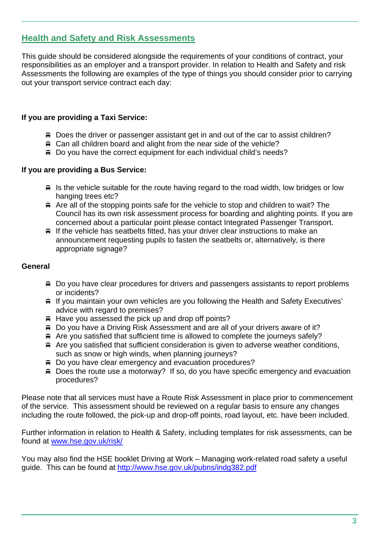# **Health and Safety and Risk Assessments**

This guide should be considered alongside the requirements of your conditions of contract, your responsibilities as an employer and a transport provider. In relation to Health and Safety and risk Assessments the following are examples of the type of things you should consider prior to carrying out your transport service contract each day:

## **If you are providing a Taxi Service:**

- Does the driver or passenger assistant get in and out of the car to assist children?
- $\equiv$  Can all children board and alight from the near side of the vehicle?
- Do you have the correct equipment for each individual child's needs?

## **If you are providing a Bus Service:**

- $\equiv$  Is the vehicle suitable for the route having regard to the road width, low bridges or low hanging trees etc?
- Are all of the stopping points safe for the vehicle to stop and children to wait? The Council has its own risk assessment process for boarding and alighting points. If you are concerned about a particular point please contact Integrated Passenger Transport.
- $\equiv$  If the vehicle has seatbelts fitted, has your driver clear instructions to make an announcement requesting pupils to fasten the seatbelts or, alternatively, is there appropriate signage?

#### **General**

- Do you have clear procedures for drivers and passengers assistants to report problems or incidents?
- **■** If you maintain your own vehicles are you following the Health and Safety Executives' advice with regard to premises?
- $\#$  Have you assessed the pick up and drop off points?
- Do you have a Driving Risk Assessment and are all of your drivers aware of it?
- $\triangle$  Are you satisfied that sufficient time is allowed to complete the journeys safely?
- $\triangle$  Are you satisfied that sufficient consideration is given to adverse weather conditions, such as snow or high winds, when planning journeys?
- Do you have clear emergency and evacuation procedures?
- Does the route use a motorway? If so, do you have specific emergency and evacuation procedures?

Please note that all services must have a Route Risk Assessment in place prior to commencement of the service. This assessment should be reviewed on a regular basis to ensure any changes including the route followed, the pick-up and drop-off points, road layout, etc. have been included.

Further information in relation to Health & Safety, including templates for risk assessments, can be found at www.hse.gov.uk/risk/

You may also find the HSE booklet Driving at Work – Managing work-related road safety a useful guide. This can be found at http://www.hse.gov.uk/pubns/indg382.pdf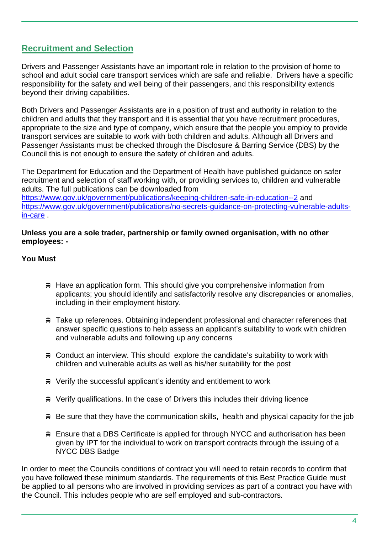# **Recruitment and Selection**

Drivers and Passenger Assistants have an important role in relation to the provision of home to school and adult social care transport services which are safe and reliable. Drivers have a specific responsibility for the safety and well being of their passengers, and this responsibility extends beyond their driving capabilities.

Both Drivers and Passenger Assistants are in a position of trust and authority in relation to the children and adults that they transport and it is essential that you have recruitment procedures, appropriate to the size and type of company, which ensure that the people you employ to provide transport services are suitable to work with both children and adults. Although all Drivers and Passenger Assistants must be checked through the Disclosure & Barring Service (DBS) by the Council this is not enough to ensure the safety of children and adults.

The Department for Education and the Department of Health have published guidance on safer recruitment and selection of staff working with, or providing services to, children and vulnerable adults. The full publications can be downloaded from https://www.gov.uk/government/publications/keeping-children-safe-in-education--2 and https://www.gov.uk/government/publications/no-secrets-guidance-on-protecting-vulnerable-adultsin-care .

#### **Unless you are a sole trader, partnership or family owned organisation, with no other employees: -**

#### **You Must**

- $\#$  Have an application form. This should give you comprehensive information from applicants; you should identify and satisfactorily resolve any discrepancies or anomalies, including in their employment history.
- Take up references. Obtaining independent professional and character references that answer specific questions to help assess an applicant's suitability to work with children and vulnerable adults and following up any concerns
- Conduct an interview. This should explore the candidate's suitability to work with children and vulnerable adults as well as his/her suitability for the post
- Verify the successful applicant's identity and entitlement to work
- Verify qualifications. In the case of Drivers this includes their driving licence
- $\#$  Be sure that they have the communication skills, health and physical capacity for the job
- Ensure that a DBS Certificate is applied for through NYCC and authorisation has been given by IPT for the individual to work on transport contracts through the issuing of a NYCC DBS Badge

In order to meet the Councils conditions of contract you will need to retain records to confirm that you have followed these minimum standards. The requirements of this Best Practice Guide must be applied to all persons who are involved in providing services as part of a contract you have with the Council. This includes people who are self employed and sub-contractors.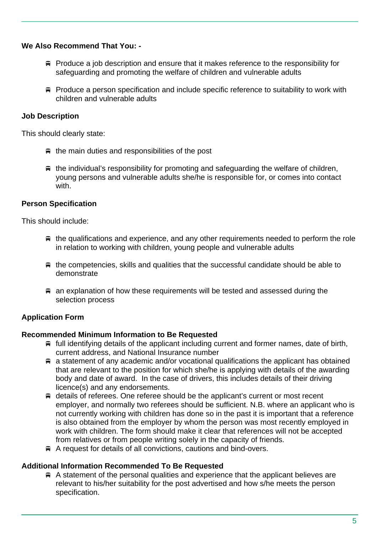#### **We Also Recommend That You: -**

- $\equiv$  Produce a job description and ensure that it makes reference to the responsibility for safeguarding and promoting the welfare of children and vulnerable adults
- Produce a person specification and include specific reference to suitability to work with children and vulnerable adults

## **Job Description**

This should clearly state:

- $\equiv$  the main duties and responsibilities of the post
- $\equiv$  the individual's responsibility for promoting and safeguarding the welfare of children, young persons and vulnerable adults she/he is responsible for, or comes into contact with.

#### **Person Specification**

This should include:

- $\equiv$  the qualifications and experience, and any other requirements needed to perform the role in relation to working with children, young people and vulnerable adults
- $\#$  the competencies, skills and qualities that the successful candidate should be able to demonstrate
- **■** an explanation of how these requirements will be tested and assessed during the selection process

## **Application Form**

#### **Recommended Minimum Information to Be Requested**

- $\#$  full identifying details of the applicant including current and former names, date of birth, current address, and National Insurance number
- $\equiv$  a statement of any academic and/or vocational qualifications the applicant has obtained that are relevant to the position for which she/he is applying with details of the awarding body and date of award. In the case of drivers, this includes details of their driving licence(s) and any endorsements.
- details of referees. One referee should be the applicant's current or most recent employer, and normally two referees should be sufficient. N.B. where an applicant who is not currently working with children has done so in the past it is important that a reference is also obtained from the employer by whom the person was most recently employed in work with children. The form should make it clear that references will not be accepted from relatives or from people writing solely in the capacity of friends.
- A request for details of all convictions, cautions and bind-overs.

#### **Additional Information Recommended To Be Requested**

 A statement of the personal qualities and experience that the applicant believes are relevant to his/her suitability for the post advertised and how s/he meets the person specification.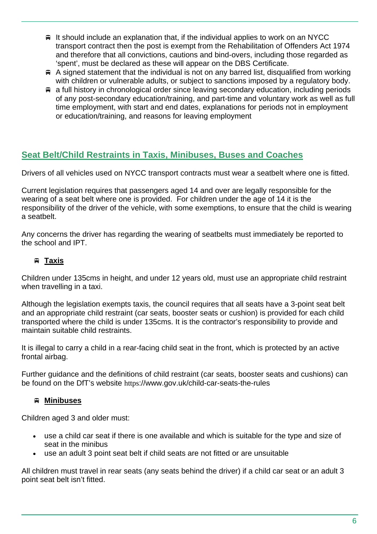- $\equiv$  It should include an explanation that, if the individual applies to work on an NYCC transport contract then the post is exempt from the Rehabilitation of Offenders Act 1974 and therefore that all convictions, cautions and bind-overs, including those regarded as 'spent', must be declared as these will appear on the DBS Certificate.
- $\#$  A signed statement that the individual is not on any barred list, disqualified from working with children or vulnerable adults, or subject to sanctions imposed by a regulatory body.
- a full history in chronological order since leaving secondary education, including periods of any post-secondary education/training, and part-time and voluntary work as well as full time employment, with start and end dates, explanations for periods not in employment or education/training, and reasons for leaving employment

# **Seat Belt/Child Restraints in Taxis, Minibuses, Buses and Coaches**

Drivers of all vehicles used on NYCC transport contracts must wear a seatbelt where one is fitted.

Current legislation requires that passengers aged 14 and over are legally responsible for the wearing of a seat belt where one is provided. For children under the age of 14 it is the responsibility of the driver of the vehicle, with some exemptions, to ensure that the child is wearing a seatbelt.

Any concerns the driver has regarding the wearing of seatbelts must immediately be reported to the school and IPT.

## **Taxis**

Children under 135cms in height, and under 12 years old, must use an appropriate child restraint when travelling in a taxi.

Although the legislation exempts taxis, the council requires that all seats have a 3-point seat belt and an appropriate child restraint (car seats, booster seats or cushion) is provided for each child transported where the child is under 135cms. It is the contractor's responsibility to provide and maintain suitable child restraints.

It is illegal to carry a child in a rear-facing child seat in the front, which is protected by an active frontal airbag.

Further guidance and the definitions of child restraint (car seats, booster seats and cushions) can be found on the DfT's website https://www.gov.uk/child-car-seats-the-rules

## **Minibuses**

Children aged 3 and older must:

- use a child car seat if there is one available and which is suitable for the type and size of seat in the minibus
- use an adult 3 point seat belt if child seats are not fitted or are unsuitable

All children must travel in rear seats (any seats behind the driver) if a child car seat or an adult 3 point seat belt isn't fitted.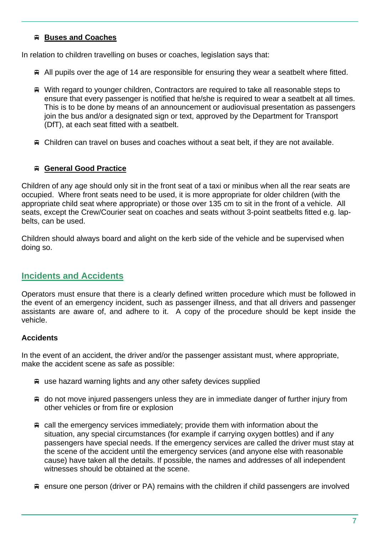## **Buses and Coaches**

In relation to children travelling on buses or coaches, legislation says that:

- $\triangleq$  All pupils over the age of 14 are responsible for ensuring they wear a seatbelt where fitted.
- With regard to younger children, Contractors are required to take all reasonable steps to ensure that every passenger is notified that he/she is required to wear a seatbelt at all times. This is to be done by means of an announcement or audiovisual presentation as passengers join the bus and/or a designated sign or text, approved by the Department for Transport (DfT), at each seat fitted with a seatbelt.
- Children can travel on buses and coaches without a seat belt, if they are not available.

#### **General Good Practice**

Children of any age should only sit in the front seat of a taxi or minibus when all the rear seats are occupied. Where front seats need to be used, it is more appropriate for older children (with the appropriate child seat where appropriate) or those over 135 cm to sit in the front of a vehicle. All seats, except the Crew/Courier seat on coaches and seats without 3-point seatbelts fitted e.g. lapbelts, can be used.

Children should always board and alight on the kerb side of the vehicle and be supervised when doing so.

# **Incidents and Accidents**

Operators must ensure that there is a clearly defined written procedure which must be followed in the event of an emergency incident, such as passenger illness, and that all drivers and passenger assistants are aware of, and adhere to it. A copy of the procedure should be kept inside the vehicle.

## **Accidents**

In the event of an accident, the driver and/or the passenger assistant must, where appropriate, make the accident scene as safe as possible:

- use hazard warning lights and any other safety devices supplied
- $\triangleq$  do not move injured passengers unless they are in immediate danger of further injury from other vehicles or from fire or explosion
- $\equiv$  call the emergency services immediately; provide them with information about the situation, any special circumstances (for example if carrying oxygen bottles) and if any passengers have special needs. If the emergency services are called the driver must stay at the scene of the accident until the emergency services (and anyone else with reasonable cause) have taken all the details. If possible, the names and addresses of all independent witnesses should be obtained at the scene.
- ensure one person (driver or PA) remains with the children if child passengers are involved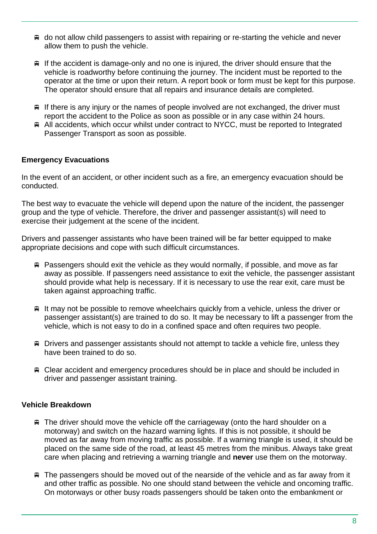- do not allow child passengers to assist with repairing or re-starting the vehicle and never allow them to push the vehicle.
- $\equiv$  If the accident is damage-only and no one is injured, the driver should ensure that the vehicle is roadworthy before continuing the journey. The incident must be reported to the operator at the time or upon their return. A report book or form must be kept for this purpose. The operator should ensure that all repairs and insurance details are completed.
- $\equiv$  If there is any injury or the names of people involved are not exchanged, the driver must report the accident to the Police as soon as possible or in any case within 24 hours.
- All accidents, which occur whilst under contract to NYCC, must be reported to Integrated Passenger Transport as soon as possible.

## **Emergency Evacuations**

In the event of an accident, or other incident such as a fire, an emergency evacuation should be conducted.

The best way to evacuate the vehicle will depend upon the nature of the incident, the passenger group and the type of vehicle. Therefore, the driver and passenger assistant(s) will need to exercise their judgement at the scene of the incident.

Drivers and passenger assistants who have been trained will be far better equipped to make appropriate decisions and cope with such difficult circumstances.

- $\#$  Passengers should exit the vehicle as they would normally, if possible, and move as far away as possible. If passengers need assistance to exit the vehicle, the passenger assistant should provide what help is necessary. If it is necessary to use the rear exit, care must be taken against approaching traffic.
- $\equiv$  It may not be possible to remove wheelchairs quickly from a vehicle, unless the driver or passenger assistant(s) are trained to do so. It may be necessary to lift a passenger from the vehicle, which is not easy to do in a confined space and often requires two people.
- **■** Drivers and passenger assistants should not attempt to tackle a vehicle fire, unless they have been trained to do so.
- Clear accident and emergency procedures should be in place and should be included in driver and passenger assistant training.

#### **Vehicle Breakdown**

- $\equiv$  The driver should move the vehicle off the carriageway (onto the hard shoulder on a motorway) and switch on the hazard warning lights. If this is not possible, it should be moved as far away from moving traffic as possible. If a warning triangle is used, it should be placed on the same side of the road, at least 45 metres from the minibus. Always take great care when placing and retrieving a warning triangle and **never** use them on the motorway.
- $\equiv$  The passengers should be moved out of the nearside of the vehicle and as far away from it and other traffic as possible. No one should stand between the vehicle and oncoming traffic. On motorways or other busy roads passengers should be taken onto the embankment or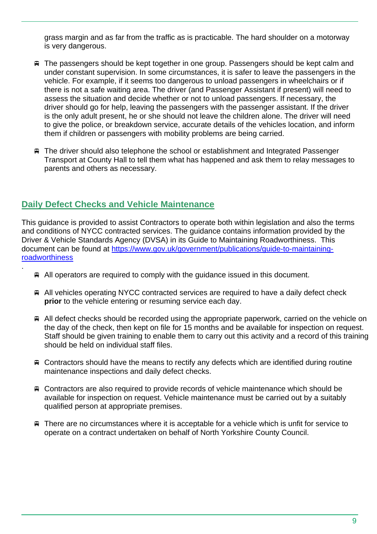grass margin and as far from the traffic as is practicable. The hard shoulder on a motorway is very dangerous.

- The passengers should be kept together in one group. Passengers should be kept calm and under constant supervision. In some circumstances, it is safer to leave the passengers in the vehicle. For example, if it seems too dangerous to unload passengers in wheelchairs or if there is not a safe waiting area. The driver (and Passenger Assistant if present) will need to assess the situation and decide whether or not to unload passengers. If necessary, the driver should go for help, leaving the passengers with the passenger assistant. If the driver is the only adult present, he or she should not leave the children alone. The driver will need to give the police, or breakdown service, accurate details of the vehicles location, and inform them if children or passengers with mobility problems are being carried.
- The driver should also telephone the school or establishment and Integrated Passenger Transport at County Hall to tell them what has happened and ask them to relay messages to parents and others as necessary.

# **Daily Defect Checks and Vehicle Maintenance**

.

This guidance is provided to assist Contractors to operate both within legislation and also the terms and conditions of NYCC contracted services. The guidance contains information provided by the Driver & Vehicle Standards Agency (DVSA) in its Guide to Maintaining Roadworthiness. This document can be found at https://www.gov.uk/government/publications/guide-to-maintainingroadworthiness

- $\triangleq$  All operators are required to comply with the quidance issued in this document.
- All vehicles operating NYCC contracted services are required to have a daily defect check **prior** to the vehicle entering or resuming service each day.
- $\triangleq$  All defect checks should be recorded using the appropriate paperwork, carried on the vehicle on the day of the check, then kept on file for 15 months and be available for inspection on request. Staff should be given training to enable them to carry out this activity and a record of this training should be held on individual staff files.
- $\triangle$  Contractors should have the means to rectify any defects which are identified during routine maintenance inspections and daily defect checks.
- Contractors are also required to provide records of vehicle maintenance which should be available for inspection on request. Vehicle maintenance must be carried out by a suitably qualified person at appropriate premises.
- $\mathbb F$  There are no circumstances where it is acceptable for a vehicle which is unfit for service to operate on a contract undertaken on behalf of North Yorkshire County Council.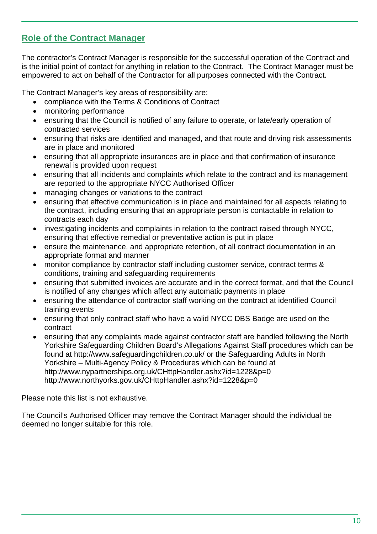# **Role of the Contract Manager**

The contractor's Contract Manager is responsible for the successful operation of the Contract and is the initial point of contact for anything in relation to the Contract. The Contract Manager must be empowered to act on behalf of the Contractor for all purposes connected with the Contract.

The Contract Manager's key areas of responsibility are:

- compliance with the Terms & Conditions of Contract
- monitoring performance
- ensuring that the Council is notified of any failure to operate, or late/early operation of contracted services
- ensuring that risks are identified and managed, and that route and driving risk assessments are in place and monitored
- ensuring that all appropriate insurances are in place and that confirmation of insurance renewal is provided upon request
- ensuring that all incidents and complaints which relate to the contract and its management are reported to the appropriate NYCC Authorised Officer
- managing changes or variations to the contract
- ensuring that effective communication is in place and maintained for all aspects relating to the contract, including ensuring that an appropriate person is contactable in relation to contracts each day
- investigating incidents and complaints in relation to the contract raised through NYCC, ensuring that effective remedial or preventative action is put in place
- ensure the maintenance, and appropriate retention, of all contract documentation in an appropriate format and manner
- monitor compliance by contractor staff including customer service, contract terms & conditions, training and safeguarding requirements
- ensuring that submitted invoices are accurate and in the correct format, and that the Council is notified of any changes which affect any automatic payments in place
- ensuring the attendance of contractor staff working on the contract at identified Council training events
- ensuring that only contract staff who have a valid NYCC DBS Badge are used on the contract
- ensuring that any complaints made against contractor staff are handled following the North Yorkshire Safeguarding Children Board's Allegations Against Staff procedures which can be found at http://www.safeguardingchildren.co.uk/ or the Safeguarding Adults in North Yorkshire – Multi-Agency Policy & Procedures which can be found at http://www.nypartnerships.org.uk/CHttpHandler.ashx?id=1228&p=0 http://www.northyorks.gov.uk/CHttpHandler.ashx?id=1228&p=0

Please note this list is not exhaustive.

The Council's Authorised Officer may remove the Contract Manager should the individual be deemed no longer suitable for this role.